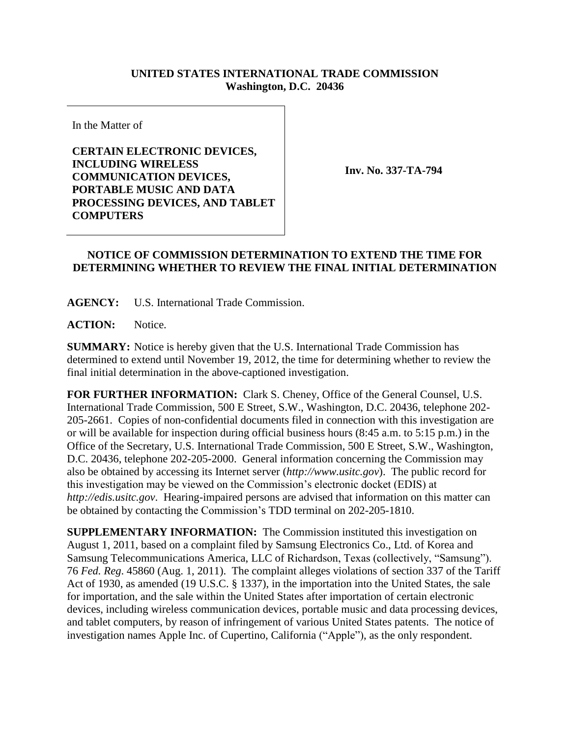## **UNITED STATES INTERNATIONAL TRADE COMMISSION Washington, D.C. 20436**

In the Matter of

**CERTAIN ELECTRONIC DEVICES, INCLUDING WIRELESS COMMUNICATION DEVICES, PORTABLE MUSIC AND DATA PROCESSING DEVICES, AND TABLET COMPUTERS**

**Inv. No. 337-TA-794**

## **NOTICE OF COMMISSION DETERMINATION TO EXTEND THE TIME FOR DETERMINING WHETHER TO REVIEW THE FINAL INITIAL DETERMINATION**

**AGENCY:** U.S. International Trade Commission.

**ACTION:** Notice.

**SUMMARY:** Notice is hereby given that the U.S. International Trade Commission has determined to extend until November 19, 2012, the time for determining whether to review the final initial determination in the above-captioned investigation.

**FOR FURTHER INFORMATION:** Clark S. Cheney, Office of the General Counsel, U.S. International Trade Commission, 500 E Street, S.W., Washington, D.C. 20436, telephone 202- 205-2661. Copies of non-confidential documents filed in connection with this investigation are or will be available for inspection during official business hours (8:45 a.m. to 5:15 p.m.) in the Office of the Secretary, U.S. International Trade Commission, 500 E Street, S.W., Washington, D.C. 20436, telephone 202-205-2000. General information concerning the Commission may also be obtained by accessing its Internet server (*http://www.usitc.gov*). The public record for this investigation may be viewed on the Commission's electronic docket (EDIS) at *http://edis.usitc.gov*. Hearing-impaired persons are advised that information on this matter can be obtained by contacting the Commission's TDD terminal on 202-205-1810.

**SUPPLEMENTARY INFORMATION:** The Commission instituted this investigation on August 1, 2011, based on a complaint filed by Samsung Electronics Co., Ltd. of Korea and Samsung Telecommunications America, LLC of Richardson, Texas (collectively, "Samsung"). 76 *Fed. Reg*. 45860 (Aug. 1, 2011). The complaint alleges violations of section 337 of the Tariff Act of 1930, as amended (19 U.S.C. § 1337), in the importation into the United States, the sale for importation, and the sale within the United States after importation of certain electronic devices, including wireless communication devices, portable music and data processing devices, and tablet computers, by reason of infringement of various United States patents. The notice of investigation names Apple Inc. of Cupertino, California ("Apple"), as the only respondent.